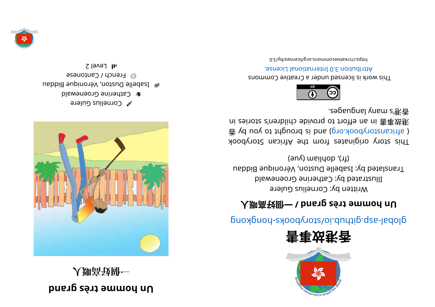# **dnar gsèrt <sup>e</sup> mmoh nU ⼈嘅⾼好個⼀**



**exage correlius Gulere & Catherine Groenewald**  $\bullet$  Isabelle Duston, Véronique Biddau esench / Cantonese  $I$ l Level 2







## glopsi-asp.glithub.io/storybooks-hongkong

### **⼈嘅⾼好個⼀/ dnar gsèrt <sup>e</sup> mmoh nU**

Written by: Cornelius Gulere Illustrated by: Catherine Groenewald Translated by: Isabelle Duston, Véronique Biddau  $(i)$ ) euglydd,  $(i)$ 

This story originates from the African Storybook  $\frac{1}{2}$  yd uoy ot tripuord si bna (pro. koodynotansoints) ni zeinota a'nənblidə əbivonq ot trofta na ni 害事对承 . segaugnal yna ms' 港⾹



This work is licensed under a Creative Commons . esnecial lanoit and the change.

0. E\\d\zesnecil\pro. 2nommons.org/licenses/by/3.0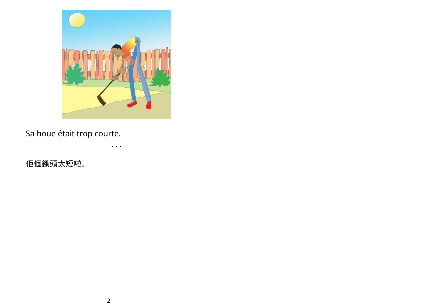

 $\dddot{\bullet}$  .

### Sa houe était trop courte.

佢個鋤頭太短啦。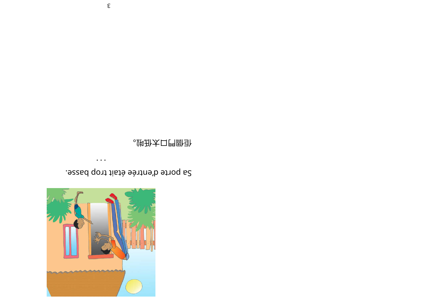

 $\ddot{\phantom{0}}$  .

Sa porte d'entrée était trop basse.

。她孙太口門剛引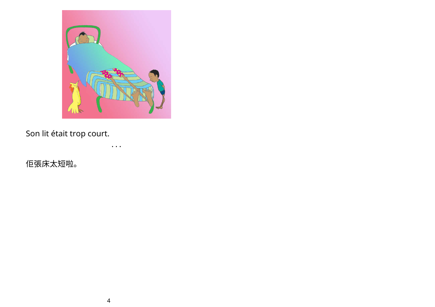

 $\ddotsc$ 

### Son lit était trop court.

佢張床太短啦。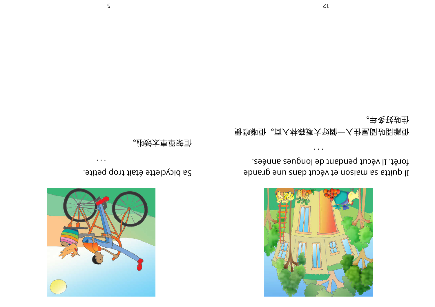

forêt. Il vécut pendant de longues années. Il quitta sa maison et vécut dans une grande

。尹冬致却卦 

 $\bullet\hspace{0.4mm}\bullet\hspace{0.4mm}\bullet\hspace{0.4mm}\bullet\hspace{0.4mm}$ 



 $\bullet\hspace{0.1cm}\bullet\hspace{0.1cm}\bullet\hspace{0.1cm} \bullet$ 

Sa bicyclette était trop petite.

。她麩太車單哭引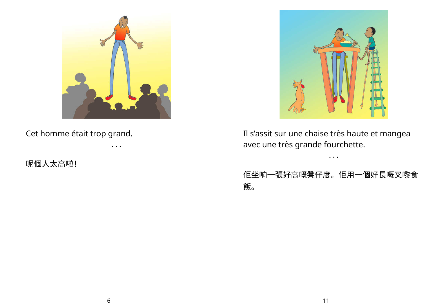

• • •

Cet homme était trop grand.

呢個人太高啦!



Il s'assit sur une chaise très haute et mangea avec une très grande fourchette.

佢坐响一張好高嘅凳仔度。佢用一個好長嘅叉嚟食 飯。

• • •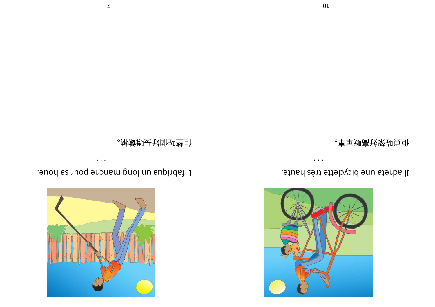

 $\bullet$  . <br> <br> $\bullet$ 

Il acheta une bicyclette très haute.

。車單卿高攷柴却買引

、林幟卿寻刊固述望引



Il fabriqua un long manche pour sa houe.

 $\ddot{\cdot}$   $\ddot{\cdot}$ 

 $\angle$